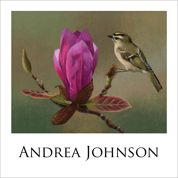

## Andrea Johnson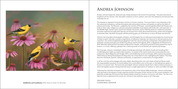

Goldfinches and Coneflowers, 2014, Acrylic on Panel, 16 x 20 inches

## Andrea Johnson

Andrea Johnson keeps her observant eye closely attuned to the world of living things. The plant and animal kingdoms are her domain, their abundant variations on form, pattern, and color the substance and stimulus that motivates her art.

The impulse to represent living things is intrinsic to human creativity. From pre-historic cave drawings to the first advanced civilizations, animals and plants adorned pottery, bronzes, and jewelry, as well as the walls of palaces and tombs. The Romans—judged by the remains of Pompeii—painted gardens filled with flowers and birds on their walls. Indigenous cultures everywhere embellish ritual objects with birds, fish, and mammals. In the Middle Ages, flowers were copied into herbals, the books used to identify plants for medicinal purposes, and when explorers brought plant species into Europe from newly discovered territories, artists were engaged to illustrate them. Northern European still life painting grew out of the fervor to show off these new blooms.

Johnson has long taken photographs of plants, and she begins her art making process begins by choosing one of these to paint. She also consults a large library of reference materials, her resource for animal anatomy and coloration. Out of this longstanding engagement with the natural world she orchestrates richly patterned and brilliantly colored paintings such as Morning Glories and Hummingbirds, 2014, or Bluebirds and Persimmons, 2014. Minutely observed and intricately rendered fruit, flowers, and perching birds fill these panels from top to bottom, in a crush, offering a glimpse into a teeming world, at once familiar, yet mysteriously foreign.

Not long ago, Johnson completed a series of landscape paintings with distant clouds and receding hills a challenging but highly successful style transition. In several of her recent works she incorporates this new perspective. Both *Magnolia with Kinglet*, 2014, and *Goldfinches and Cone Flowers*, 2014, explore this spatial relationship by letting the background drop away into a hazy field of color, highlighting the subject. Thus they become individuals, specific creatures and flowers, as opposed to components of a large pattern.

In all her work the artist engages with every detail, describing each vein and crease of leaf and flower petal, the imperceptible transition of a bird's feather from one brilliant color to the next, or the fading from green to brown in an autumn leaf. The luminosity and depth Johnson achieves results from a labor-intensive process, in which she applies acrylics interspersed with seven or eight applications of medium to catch and reflect the light.

Following her interlude immersed in the expansive vistas of the Salinas Valley landscape, Johnson enthusiastically returned to the sphere of small creatures and the intricacies of their domain for this current exhibition. Her jewel-like renderings of birds and their flowery habitat reveal her intuitive communion with them. Too few of us take the time to experience this world, but Johnson's new exhibition gives us all a free pass.

Helaine Glick Curatorial Advisor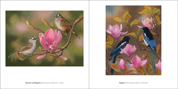

![](_page_2_Picture_1.jpeg)

Sparrows and Magnolia, 2014, Acrylic on Panel, 8 x 11 inches Magnoles, 2014, Acrylic on Panel, 15 x 19inches Magnoles, 2014, Acrylic on Panel, 15 x 19inches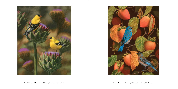![](_page_3_Picture_0.jpeg)

Goldfiniches and Artichokes, 2014, Acrylic on Panel, 11 x 14 inches **Election Control of Conservation** Bluebirds and Persimmons, 2014, Acrylic on Panel, 12 x 16 inches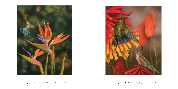![](_page_4_Picture_0.jpeg)

![](_page_4_Picture_1.jpeg)

Hummingbird and Bird of Paradise, 2014, Acrylic on Panel, 11 x 14 inches **Turned Acrylic and Red Hot Poker, 2014**, Acrylic on Panel, 8 x 10 inches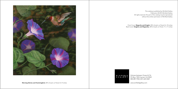![](_page_5_Picture_0.jpeg)

Morning Glories and Hummingbird, 2014, Acrylic on Panel, 8 x 9 inches extending to the state of the state of the state of the state of the state of the state of the state of the state of the state of the state of the state

This catalog is published by Winfield Gallery Publication © 2014 Winfield Gallery All rights reserved. No part of this catalog may be reproduced without the written permission of Winfiled Gallery

Front Cover: **Magnolia and Kinglet**, 2014, Acrylic on Panel, 8 x 10 inches Back Cover: **Kinglets and Magnolias**, 2014, Acrylic on Panel, 11 x 11 inches

WINFIELD<br>GALLERY

Dolores between Ocean & 7th PO Box 7393 Carmel, CA 93921 800.289.1950 || 831.624.3369